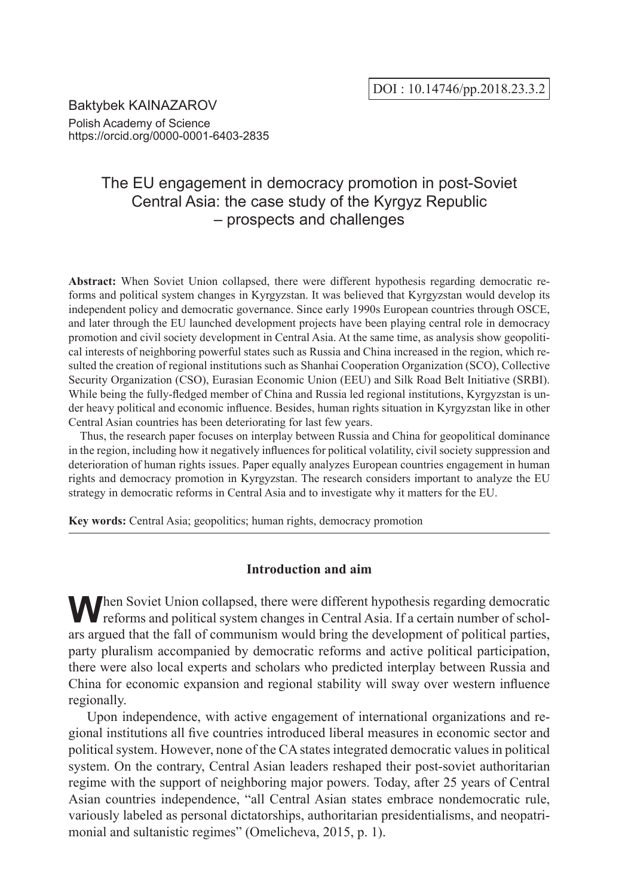Baktybek KAINAZAROV Polish Academy of Science https://orcid.org/0000-0001-6403-2835

# The EU engagement in democracy promotion in post-Soviet Central Asia: the case study of the Kyrgyz Republic – prospects and challenges

**Abstract:** When Soviet Union collapsed, there were different hypothesis regarding democratic reforms and political system changes in Kyrgyzstan. It was believed that Kyrgyzstan would develop its independent policy and democratic governance. Since early 1990s European countries through OSCE, and later through the EU launched development projects have been playing central role in democracy promotion and civil society development in Central Asia. At the same time, as analysis show geopolitical interests of neighboring powerful states such as Russia and China increased in the region, which resulted the creation of regional institutions such as Shanhai Cooperation Organization (SCO), Collective Security Organization (CSO), Eurasian Economic Union (EEU) and Silk Road Belt Initiative (SRBI). While being the fully-fledged member of China and Russia led regional institutions. Kyrgyzstan is under heavy political and economic influence. Besides, human rights situation in Kyrgyzstan like in other Central Asian countries has been deteriorating for last few years.

Thus, the research paper focuses on interplay between Russia and China for geopolitical dominance in the region, including how it negatively influences for political volatility, civil society suppression and deterioration of human rights issues. Paper equally analyzes European countries engagement in human rights and democracy promotion in Kyrgyzstan. The research considers important to analyze the EU strategy in democratic reforms in Central Asia and to investigate why it matters for the EU.

**Key words:** Central Asia; geopolitics; human rights, democracy promotion

# **Introduction and aim**

When Soviet Union collapsed, there were different hypothesis regarding democratic reforms and political system changes in Central Asia. If a certain number of scholars argued that the fall of communism would bring the development of political parties, party pluralism accompanied by democratic reforms and active political participation, there were also local experts and scholars who predicted interplay between Russia and China for economic expansion and regional stability will sway over western influence regionally.

Upon independence, with active engagement of international organizations and regional institutions all five countries introduced liberal measures in economic sector and political system. However, none of the CA states integrated democratic values in political system. On the contrary, Central Asian leaders reshaped their post-soviet authoritarian regime with the support of neighboring major powers. Today, after 25 years of Central Asian countries independence, "all Central Asian states embrace nondemocratic rule, variously labeled as personal dictatorships, authoritarian presidentialisms, and neopatrimonial and sultanistic regimes" (Omelicheva, 2015, p. 1).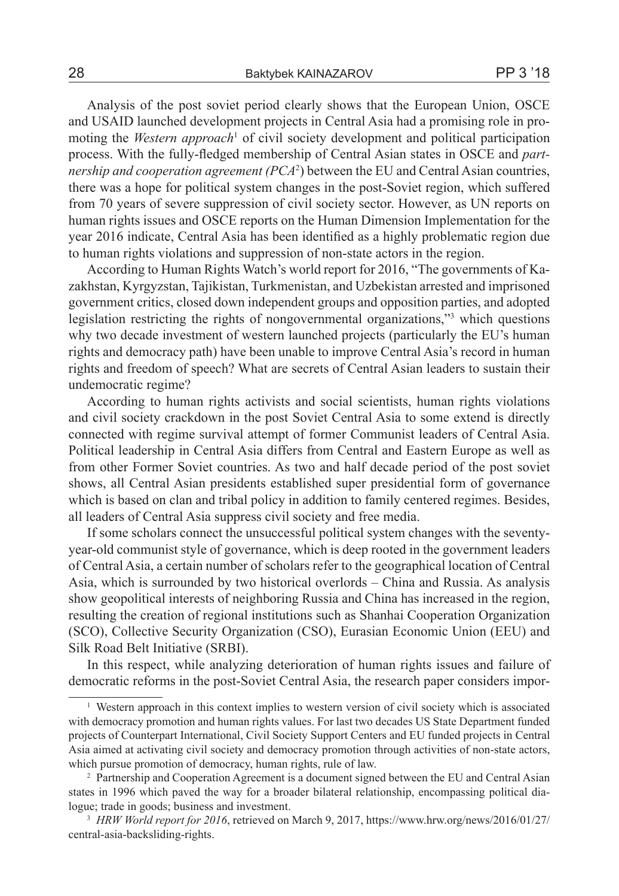Analysis of the post soviet period clearly shows that the European Union, OSCE and USAID launched development projects in Central Asia had a promising role in promoting the *Western approach*<sup>1</sup> of civil society development and political participation process. With the fully-fledged membership of Central Asian states in OSCE and *partnership and cooperation agreement (PCA*<sup>2</sup> ) between the EU and Central Asian countries, there was a hope for political system changes in the post-Soviet region, which suffered from 70 years of severe suppression of civil society sector. However, as UN reports on human rights issues and OSCE reports on the Human Dimension Implementation for the year 2016 indicate, Central Asia has been identified as a highly problematic region due to human rights violations and suppression of non-state actors in the region.

According to Human Rights Watch's world report for 2016, "The governments of Kazakhstan, Kyrgyzstan, Tajikistan, Turkmenistan, and Uzbekistan arrested and imprisoned government critics, closed down independent groups and opposition parties, and adopted legislation restricting the rights of nongovernmental organizations,"3 which questions why two decade investment of western launched projects (particularly the EU's human rights and democracy path) have been unable to improve Central Asia's record in human rights and freedom of speech? What are secrets of Central Asian leaders to sustain their undemocratic regime?

According to human rights activists and social scientists, human rights violations and civil society crackdown in the post Soviet Central Asia to some extend is directly connected with regime survival attempt of former Communist leaders of Central Asia. Political leadership in Central Asia differs from Central and Eastern Europe as well as from other Former Soviet countries. As two and half decade period of the post soviet shows, all Central Asian presidents established super presidential form of governance which is based on clan and tribal policy in addition to family centered regimes. Besides, all leaders of Central Asia suppress civil society and free media.

If some scholars connect the unsuccessful political system changes with the seventyyear-old communist style of governance, which is deep rooted in the government leaders of Central Asia, a certain number of scholars refer to the geographical location of Central Asia, which is surrounded by two historical overlords – China and Russia. As analysis show geopolitical interests of neighboring Russia and China has increased in the region, resulting the creation of regional institutions such as Shanhai Cooperation Organization (SCO), Collective Security Organization (CSO), Eurasian Economic Union (EEU) and Silk Road Belt Initiative (SRBI).

In this respect, while analyzing deterioration of human rights issues and failure of democratic reforms in the post-Soviet Central Asia, the research paper considers impor-

<sup>&</sup>lt;sup>1</sup> Western approach in this context implies to western version of civil society which is associated with democracy promotion and human rights values. For last two decades US State Department funded projects of Counterpart International, Civil Society Support Centers and EU funded projects in Central Asia aimed at activating civil society and democracy promotion through activities of non-state actors, which pursue promotion of democracy, human rights, rule of law.

<sup>2</sup> Partnership and Cooperation Agreement is a document signed between the EU and Central Asian states in 1996 which paved the way for a broader bilateral relationship, encompassing political dialogue; trade in goods; business and investment.

<sup>3</sup> *HRW World report for 2016*, retrieved on March 9, 2017, https://www.hrw.org/news/2016/01/27/ central-asia-backsliding-rights.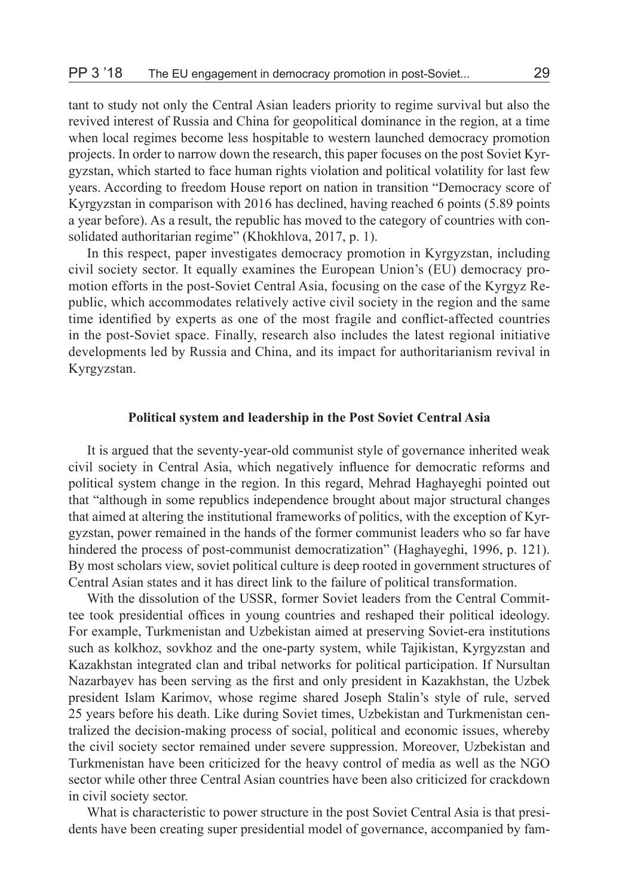tant to study not only the Central Asian leaders priority to regime survival but also the revived interest of Russia and China for geopolitical dominance in the region, at a time when local regimes become less hospitable to western launched democracy promotion projects. In order to narrow down the research, this paper focuses on the post Soviet Kyrgyzstan, which started to face human rights violation and political volatility for last few years. According to freedom House report on nation in transition "Democracy score of Kyrgyzstan in comparison with 2016 has declined, having reached 6 points (5.89 points a year before). As a result, the republic has moved to the category of countries with consolidated authoritarian regime" (Khokhlova, 2017, p. 1).

In this respect, paper investigates democracy promotion in Kyrgyzstan, including civil society sector. It equally examines the European Union's (EU) democracy promotion efforts in the post-Soviet Central Asia, focusing on the case of the Kyrgyz Republic, which accommodates relatively active civil society in the region and the same time identified by experts as one of the most fragile and conflict-affected countries in the post-Soviet space. Finally, research also includes the latest regional initiative developments led by Russia and China, and its impact for authoritarianism revival in Kyrgyzstan.

# **Political system and leadership in the Post Soviet Central Asia**

It is argued that the seventy-year-old communist style of governance inherited weak civil society in Central Asia, which negatively influence for democratic reforms and political system change in the region. In this regard, Mehrad Haghayeghi pointed out that "although in some republics independence brought about major structural changes that aimed at altering the institutional frameworks of politics, with the exception of Kyrgyzstan, power remained in the hands of the former communist leaders who so far have hindered the process of post-communist democratization" (Haghayeghi, 1996, p. 121). By most scholars view, soviet political culture is deep rooted in government structures of Central Asian states and it has direct link to the failure of political transformation.

With the dissolution of the USSR, former Soviet leaders from the Central Committee took presidential offices in young countries and reshaped their political ideology. For example, Turkmenistan and Uzbekistan aimed at preserving Soviet-era institutions such as kolkhoz, sovkhoz and the one-party system, while Tajikistan, Kyrgyzstan and Kazakhstan integrated clan and tribal networks for political participation. If Nursultan Nazarbayev has been serving as the first and only president in Kazakhstan, the Uzbek president Islam Karimov, whose regime shared Joseph Stalin's style of rule, served 25 years before his death. Like during Soviet times, Uzbekistan and Turkmenistan centralized the decision-making process of social, political and economic issues, whereby the civil society sector remained under severe suppression. Moreover, Uzbekistan and Turkmenistan have been criticized for the heavy control of media as well as the NGO sector while other three Central Asian countries have been also criticized for crackdown in civil society sector.

What is characteristic to power structure in the post Soviet Central Asia is that presidents have been creating super presidential model of governance, accompanied by fam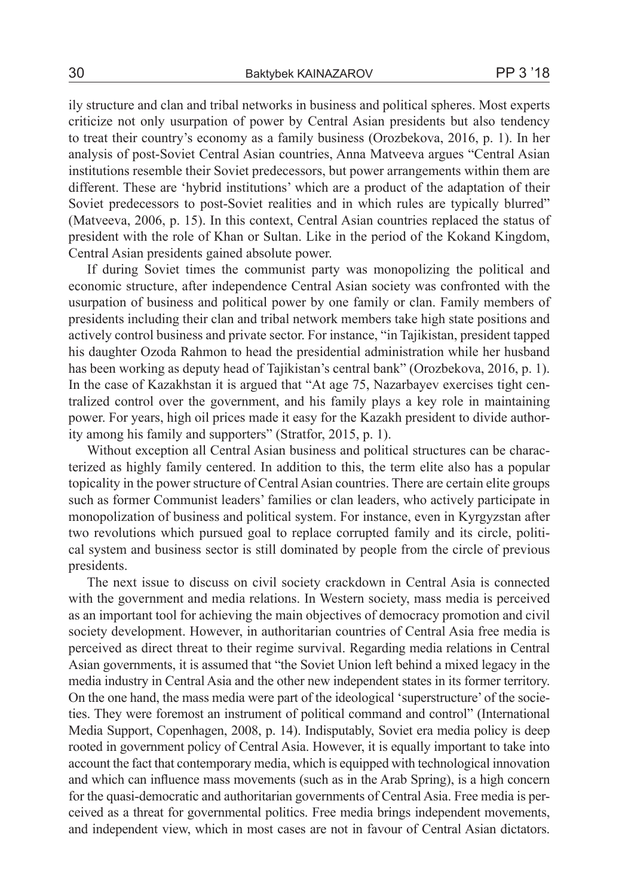ily structure and clan and tribal networks in business and political spheres. Most experts criticize not only usurpation of power by Central Asian presidents but also tendency to treat their country's economy as a family business (Orozbekova, 2016, p. 1). In her analysis of post-Soviet Central Asian countries, Anna Matveeva argues "Central Asian institutions resemble their Soviet predecessors, but power arrangements within them are different. These are 'hybrid institutions' which are a product of the adaptation of their Soviet predecessors to post-Soviet realities and in which rules are typically blurred" (Matveeva, 2006, p. 15). In this context, Central Asian countries replaced the status of president with the role of Khan or Sultan. Like in the period of the Kokand Kingdom, Central Asian presidents gained absolute power.

If during Soviet times the communist party was monopolizing the political and economic structure, after independence Central Asian society was confronted with the usurpation of business and political power by one family or clan. Family members of presidents including their clan and tribal network members take high state positions and actively control business and private sector. For instance, "in Tajikistan, president tapped his daughter Ozoda Rahmon to head the presidential administration while her husband has been working as deputy head of Tajikistan's central bank" (Orozbekova, 2016, p. 1). In the case of Kazakhstan it is argued that "At age 75, Nazarbayev exercises tight centralized control over the government, and his family plays a key role in maintaining power. For years, high oil prices made it easy for the Kazakh president to divide authority among his family and supporters" (Stratfor, 2015, p. 1).

Without exception all Central Asian business and political structures can be characterized as highly family centered. In addition to this, the term elite also has a popular topicality in the power structure of Central Asian countries. There are certain elite groups such as former Communist leaders' families or clan leaders, who actively participate in monopolization of business and political system. For instance, even in Kyrgyzstan after two revolutions which pursued goal to replace corrupted family and its circle, political system and business sector is still dominated by people from the circle of previous presidents.

The next issue to discuss on civil society crackdown in Central Asia is connected with the government and media relations. In Western society, mass media is perceived as an important tool for achieving the main objectives of democracy promotion and civil society development. However, in authoritarian countries of Central Asia free media is perceived as direct threat to their regime survival. Regarding media relations in Central Asian governments, it is assumed that "the Soviet Union left behind a mixed legacy in the media industry in Central Asia and the other new independent states in its former territory. On the one hand, the mass media were part of the ideological 'superstructure' of the societies. They were foremost an instrument of political command and control" (International Media Support, Copenhagen, 2008, p. 14). Indisputably, Soviet era media policy is deep rooted in government policy of Central Asia. However, it is equally important to take into account the fact that contemporary media, which is equipped with technological innovation and which can influence mass movements (such as in the Arab Spring), is a high concern for the quasi-democratic and authoritarian governments of Central Asia. Free media is perceived as a threat for governmental politics. Free media brings independent movements, and independent view, which in most cases are not in favour of Central Asian dictators.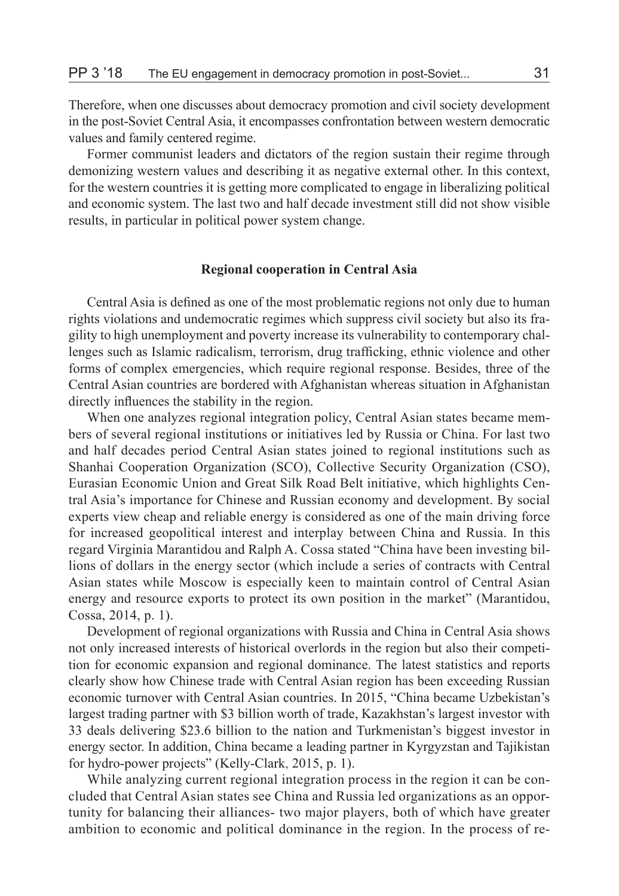Therefore, when one discusses about democracy promotion and civil society development in the post-Soviet Central Asia, it encompasses confrontation between western democratic values and family centered regime.

Former communist leaders and dictators of the region sustain their regime through demonizing western values and describing it as negative external other. In this context, for the western countries it is getting more complicated to engage in liberalizing political and economic system. The last two and half decade investment still did not show visible results, in particular in political power system change.

## **Regional cooperation in Central Asia**

Central Asia is defined as one of the most problematic regions not only due to human rights violations and undemocratic regimes which suppress civil society but also its fragility to high unemployment and poverty increase its vulnerability to contemporary challenges such as Islamic radicalism, terrorism, drug trafficking, ethnic violence and other forms of complex emergencies, which require regional response. Besides, three of the Central Asian countries are bordered with Afghanistan whereas situation in Afghanistan directly influences the stability in the region.

When one analyzes regional integration policy, Central Asian states became members of several regional institutions or initiatives led by Russia or China. For last two and half decades period Central Asian states joined to regional institutions such as Shanhai Cooperation Organization (SCO), Collective Security Organization (CSO), Eurasian Economic Union and Great Silk Road Belt initiative, which highlights Central Asia's importance for Chinese and Russian economy and development. By social experts view cheap and reliable energy is considered as one of the main driving force for increased geopolitical interest and interplay between China and Russia. In this regard Virginia Marantidou and Ralph A. Cossa stated "China have been investing billions of dollars in the energy sector (which include a series of contracts with Central Asian states while Moscow is especially keen to maintain control of Central Asian energy and resource exports to protect its own position in the market" (Marantidou, Cossa, 2014, p. 1).

Development of regional organizations with Russia and China in Central Asia shows not only increased interests of historical overlords in the region but also their competition for economic expansion and regional dominance. The latest statistics and reports clearly show how Chinese trade with Central Asian region has been exceeding Russian economic turnover with Central Asian countries. In 2015, "China became Uzbekistan's largest trading partner with \$3 billion worth of trade, Kazakhstan's largest investor with 33 deals delivering \$23.6 billion to the nation and Turkmenistan's biggest investor in energy sector. In addition, China became a leading partner in Kyrgyzstan and Tajikistan for hydro-power projects" (Kelly-Clark, 2015, p. 1).

While analyzing current regional integration process in the region it can be concluded that Central Asian states see China and Russia led organizations as an opportunity for balancing their alliances- two major players, both of which have greater ambition to economic and political dominance in the region. In the process of re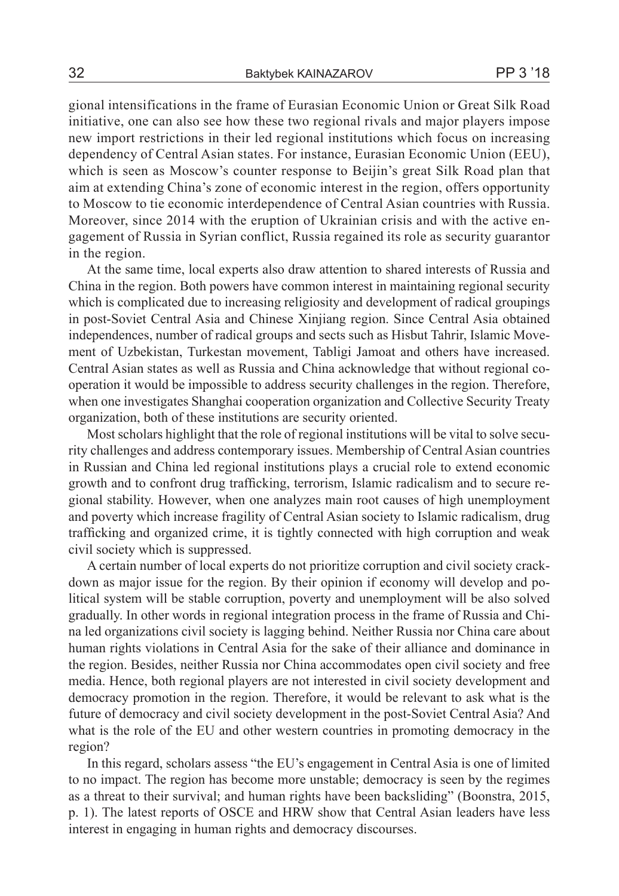gional intensifications in the frame of Eurasian Economic Union or Great Silk Road initiative, one can also see how these two regional rivals and major players impose new import restrictions in their led regional institutions which focus on increasing dependency of Central Asian states. For instance, Eurasian Economic Union (EEU), which is seen as Moscow's counter response to Beijin's great Silk Road plan that aim at extending China's zone of economic interest in the region, offers opportunity to Moscow to tie economic interdependence of Central Asian countries with Russia. Moreover, since 2014 with the eruption of Ukrainian crisis and with the active engagement of Russia in Syrian conflict, Russia regained its role as security guarantor in the region.

At the same time, local experts also draw attention to shared interests of Russia and China in the region. Both powers have common interest in maintaining regional security which is complicated due to increasing religiosity and development of radical groupings in post-Soviet Central Asia and Chinese Xinjiang region. Since Central Asia obtained independences, number of radical groups and sects such as Hisbut Tahrir, Islamic Movement of Uzbekistan, Turkestan movement, Tabligi Jamoat and others have increased. Central Asian states as well as Russia and China acknowledge that without regional cooperation it would be impossible to address security challenges in the region. Therefore, when one investigates Shanghai cooperation organization and Collective Security Treaty organization, both of these institutions are security oriented.

Most scholars highlight that the role of regional institutions will be vital to solve security challenges and address contemporary issues. Membership of Central Asian countries in Russian and China led regional institutions plays a crucial role to extend economic growth and to confront drug trafficking, terrorism, Islamic radicalism and to secure regional stability. However, when one analyzes main root causes of high unemployment and poverty which increase fragility of Central Asian society to Islamic radicalism, drug trafficking and organized crime, it is tightly connected with high corruption and weak civil society which is suppressed.

A certain number of local experts do not prioritize corruption and civil society crackdown as major issue for the region. By their opinion if economy will develop and political system will be stable corruption, poverty and unemployment will be also solved gradually. In other words in regional integration process in the frame of Russia and China led organizations civil society is lagging behind. Neither Russia nor China care about human rights violations in Central Asia for the sake of their alliance and dominance in the region. Besides, neither Russia nor China accommodates open civil society and free media. Hence, both regional players are not interested in civil society development and democracy promotion in the region. Therefore, it would be relevant to ask what is the future of democracy and civil society development in the post-Soviet Central Asia? And what is the role of the EU and other western countries in promoting democracy in the region?

In this regard, scholars assess "the EU's engagement in Central Asia is one of limited to no impact. The region has become more unstable; democracy is seen by the regimes as a threat to their survival; and human rights have been backsliding" (Boonstra, 2015, p. 1). The latest reports of OSCE and HRW show that Central Asian leaders have less interest in engaging in human rights and democracy discourses.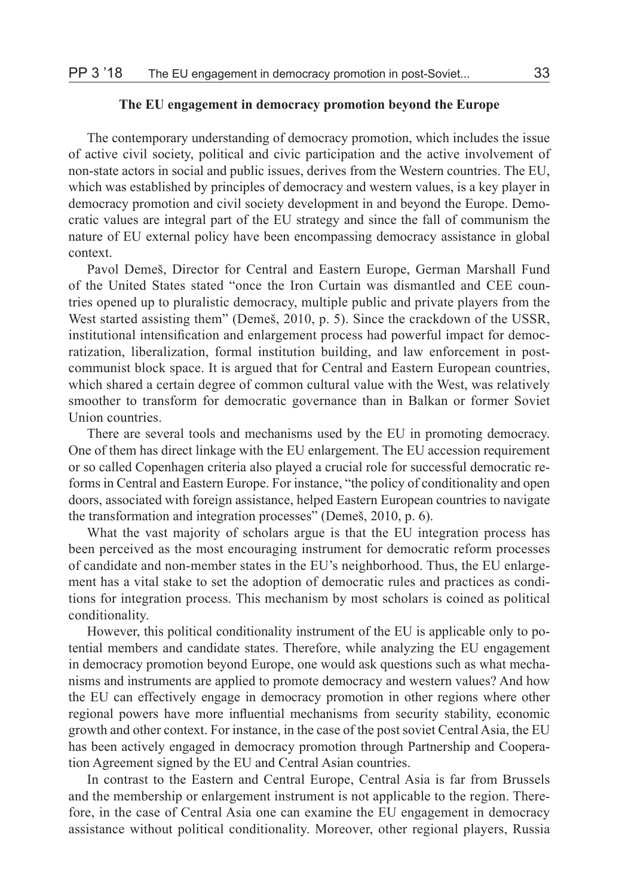## **The EU engagement in democracy promotion beyond the Europe**

The contemporary understanding of democracy promotion, which includes the issue of active civil society, political and civic participation and the active involvement of non-state actors in social and public issues, derives from the Western countries. The EU, which was established by principles of democracy and western values, is a key player in democracy promotion and civil society development in and beyond the Europe. Democratic values are integral part of the EU strategy and since the fall of communism the nature of EU external policy have been encompassing democracy assistance in global context.

Pavol Demeš, Director for Central and Eastern Europe, German Marshall Fund of the United States stated "once the Iron Curtain was dismantled and CEE countries opened up to pluralistic democracy, multiple public and private players from the West started assisting them" (Demeš, 2010, p. 5). Since the crackdown of the USSR, institutional intensification and enlargement process had powerful impact for democratization, liberalization, formal institution building, and law enforcement in postcommunist block space. It is argued that for Central and Eastern European countries, which shared a certain degree of common cultural value with the West, was relatively smoother to transform for democratic governance than in Balkan or former Soviet Union countries.

There are several tools and mechanisms used by the EU in promoting democracy. One of them has direct linkage with the EU enlargement. The EU accession requirement or so called Copenhagen criteria also played a crucial role for successful democratic reforms in Central and Eastern Europe. For instance, "the policy of conditionality and open doors, associated with foreign assistance, helped Eastern European countries to navigate the transformation and integration processes" (Demeš, 2010, p. 6).

What the vast majority of scholars argue is that the EU integration process has been perceived as the most encouraging instrument for democratic reform processes of candidate and non-member states in the EU's neighborhood. Thus, the EU enlargement has a vital stake to set the adoption of democratic rules and practices as conditions for integration process. This mechanism by most scholars is coined as political conditionality.

However, this political conditionality instrument of the EU is applicable only to potential members and candidate states. Therefore, while analyzing the EU engagement in democracy promotion beyond Europe, one would ask questions such as what mechanisms and instruments are applied to promote democracy and western values? And how the EU can effectively engage in democracy promotion in other regions where other regional powers have more influential mechanisms from security stability, economic growth and other context. For instance, in the case of the post soviet Central Asia, the EU has been actively engaged in democracy promotion through Partnership and Cooperation Agreement signed by the EU and Central Asian countries.

In contrast to the Eastern and Central Europe, Central Asia is far from Brussels and the membership or enlargement instrument is not applicable to the region. Therefore, in the case of Central Asia one can examine the EU engagement in democracy assistance without political conditionality. Moreover, other regional players, Russia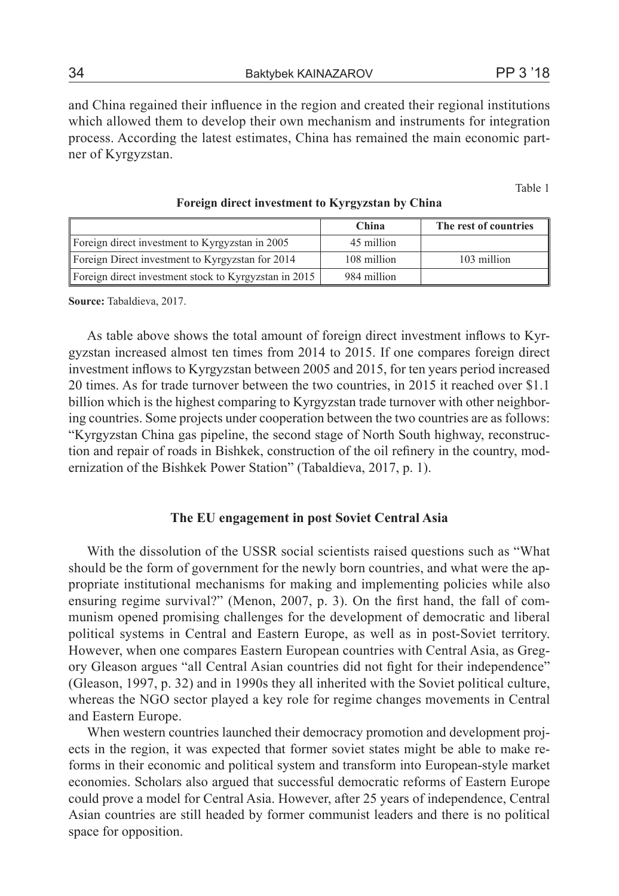and China regained their influence in the region and created their regional institutions which allowed them to develop their own mechanism and instruments for integration process. According the latest estimates, China has remained the main economic partner of Kyrgyzstan.

Table 1

|                                                       | China       | The rest of countries |
|-------------------------------------------------------|-------------|-----------------------|
| Foreign direct investment to Kyrgyzstan in 2005       | 45 million  |                       |
| Foreign Direct investment to Kyrgyzstan for 2014      | 108 million | 103 million           |
| Foreign direct investment stock to Kyrgyzstan in 2015 | 984 million |                       |

#### **Foreign direct investment to Kyrgyzstan by China**

**Source:** Tabaldieva, 2017.

As table above shows the total amount of foreign direct investment inflows to Kyrgyzstan increased almost ten times from 2014 to 2015. If one compares foreign direct investment inflows to Kyrgyzstan between 2005 and 2015, for ten years period increased 20 times. As for trade turnover between the two countries, in 2015 it reached over \$1.1 billion which is the highest comparing to Kyrgyzstan trade turnover with other neighboring countries. Some projects under cooperation between the two countries are as follows: "Kyrgyzstan China gas pipeline, the second stage of North South highway, reconstruction and repair of roads in Bishkek, construction of the oil refinery in the country, modernization of the Bishkek Power Station" (Tabaldieva, 2017, p. 1).

## **The EU engagement in post Soviet Central Asia**

With the dissolution of the USSR social scientists raised questions such as "What should be the form of government for the newly born countries, and what were the appropriate institutional mechanisms for making and implementing policies while also ensuring regime survival?" (Menon, 2007, p. 3). On the first hand, the fall of communism opened promising challenges for the development of democratic and liberal political systems in Central and Eastern Europe, as well as in post-Soviet territory. However, when one compares Eastern European countries with Central Asia, as Gregory Gleason argues "all Central Asian countries did not fight for their independence" (Gleason, 1997, p. 32) and in 1990s they all inherited with the Soviet political culture, whereas the NGO sector played a key role for regime changes movements in Central and Eastern Europe.

When western countries launched their democracy promotion and development projects in the region, it was expected that former soviet states might be able to make reforms in their economic and political system and transform into European-style market economies. Scholars also argued that successful democratic reforms of Eastern Europe could prove a model for Central Asia. However, after 25 years of independence, Central Asian countries are still headed by former communist leaders and there is no political space for opposition.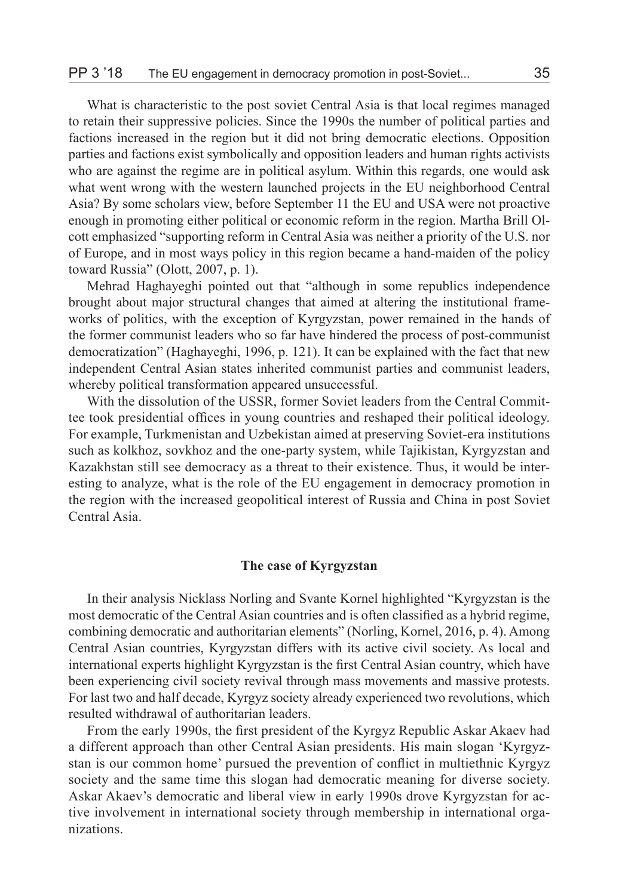What is characteristic to the post soviet Central Asia is that local regimes managed to retain their suppressive policies. Since the 1990s the number of political parties and factions increased in the region but it did not bring democratic elections. Opposition parties and factions exist symbolically and opposition leaders and human rights activists who are against the regime are in political asylum. Within this regards, one would ask what went wrong with the western launched projects in the EU neighborhood Central Asia? By some scholars view, before September 11 the EU and USA were not proactive enough in promoting either political or economic reform in the region. Martha Brill Olcott emphasized "supporting reform in Central Asia was neither a priority of the U.S. nor of Europe, and in most ways policy in this region became a hand-maiden of the policy toward Russia" (Olott, 2007, p. 1).

Mehrad Haghayeghi pointed out that "although in some republics independence brought about major structural changes that aimed at altering the institutional frameworks of politics, with the exception of Kyrgyzstan, power remained in the hands of the former communist leaders who so far have hindered the process of post-communist democratization" (Haghayeghi, 1996, p. 121). It can be explained with the fact that new independent Central Asian states inherited communist parties and communist leaders, whereby political transformation appeared unsuccessful.

With the dissolution of the USSR, former Soviet leaders from the Central Committee took presidential offices in young countries and reshaped their political ideology. For example, Turkmenistan and Uzbekistan aimed at preserving Soviet-era institutions such as kolkhoz, sovkhoz and the one-party system, while Tajikistan, Kyrgyzstan and Kazakhstan still see democracy as a threat to their existence. Thus, it would be interesting to analyze, what is the role of the EU engagement in democracy promotion in the region with the increased geopolitical interest of Russia and China in post Soviet Central Asia.

## **The case of Kyrgyzstan**

In their analysis Nicklass Norling and Svante Kornel highlighted "Kyrgyzstan is the most democratic of the Central Asian countries and is often classified as a hybrid regime, combining democratic and authoritarian elements" (Norling, Kornel, 2016, p. 4). Among Central Asian countries, Kyrgyzstan differs with its active civil society. As local and international experts highlight Kyrgyzstan is the first Central Asian country, which have been experiencing civil society revival through mass movements and massive protests. For last two and half decade, Kyrgyz society already experienced two revolutions, which resulted withdrawal of authoritarian leaders.

From the early 1990s, the first president of the Kyrgyz Republic Askar Akaev had a different approach than other Central Asian presidents. His main slogan 'Kyrgyzstan is our common home' pursued the prevention of conflict in multiethnic Kyrgyz society and the same time this slogan had democratic meaning for diverse society. Askar Akaev's democratic and liberal view in early 1990s drove Kyrgyzstan for active involvement in international society through membership in international organizations.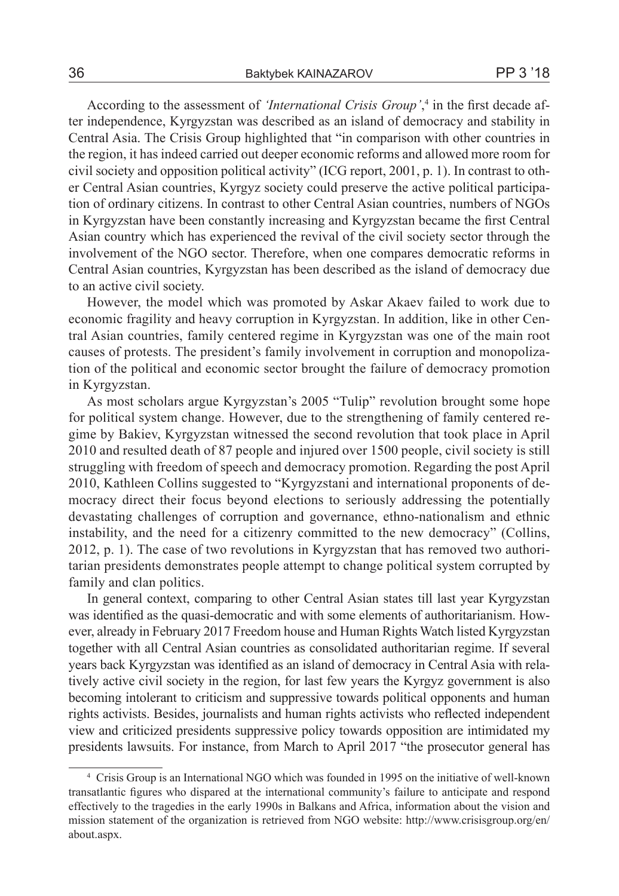According to the assessment of *'International Crisis Group*',<sup>4</sup> in the first decade after independence, Kyrgyzstan was described as an island of democracy and stability in Central Asia. The Crisis Group highlighted that "in comparison with other countries in the region, it has indeed carried out deeper economic reforms and allowed more room for civil society and opposition political activity" (ICG report, 2001, p. 1). In contrast to other Central Asian countries, Kyrgyz society could preserve the active political participation of ordinary citizens. In contrast to other Central Asian countries, numbers of NGOs in Kyrgyzstan have been constantly increasing and Kyrgyzstan became the first Central Asian country which has experienced the revival of the civil society sector through the involvement of the NGO sector. Therefore, when one compares democratic reforms in Central Asian countries, Kyrgyzstan has been described as the island of democracy due to an active civil society.

However, the model which was promoted by Askar Akaev failed to work due to economic fragility and heavy corruption in Kyrgyzstan. In addition, like in other Central Asian countries, family centered regime in Kyrgyzstan was one of the main root causes of protests. The president's family involvement in corruption and monopolization of the political and economic sector brought the failure of democracy promotion in Kyrgyzstan.

As most scholars argue Kyrgyzstan's 2005 "Tulip" revolution brought some hope for political system change. However, due to the strengthening of family centered regime by Bakiev, Kyrgyzstan witnessed the second revolution that took place in April 2010 and resulted death of 87 people and injured over 1500 people, civil society is still struggling with freedom of speech and democracy promotion. Regarding the post April 2010, Kathleen Collins suggested to "Kyrgyzstani and international proponents of democracy direct their focus beyond elections to seriously addressing the potentially devastating challenges of corruption and governance, ethno-nationalism and ethnic instability, and the need for a citizenry committed to the new democracy" (Collins, 2012, p. 1). The case of two revolutions in Kyrgyzstan that has removed two authoritarian presidents demonstrates people attempt to change political system corrupted by family and clan politics.

In general context, comparing to other Central Asian states till last year Kyrgyzstan was identified as the quasi-democratic and with some elements of authoritarianism. However, already in February 2017 Freedom house and Human Rights Watch listed Kyrgyzstan together with all Central Asian countries as consolidated authoritarian regime. If several years back Kyrgyzstan was identified as an island of democracy in Central Asia with relatively active civil society in the region, for last few years the Kyrgyz government is also becoming intolerant to criticism and suppressive towards political opponents and human rights activists. Besides, journalists and human rights activists who reflected independent view and criticized presidents suppressive policy towards opposition are intimidated my presidents lawsuits. For instance, from March to April 2017 "the prosecutor general has

<sup>4</sup> Crisis Group is an International NGO which was founded in 1995 on the initiative of well-known transatlantic figures who dispared at the international community's failure to anticipate and respond effectively to the tragedies in the early 1990s in Balkans and Africa, information about the vision and mission statement of the organization is retrieved from NGO website: http://www.crisisgroup.org/en/ about.aspx.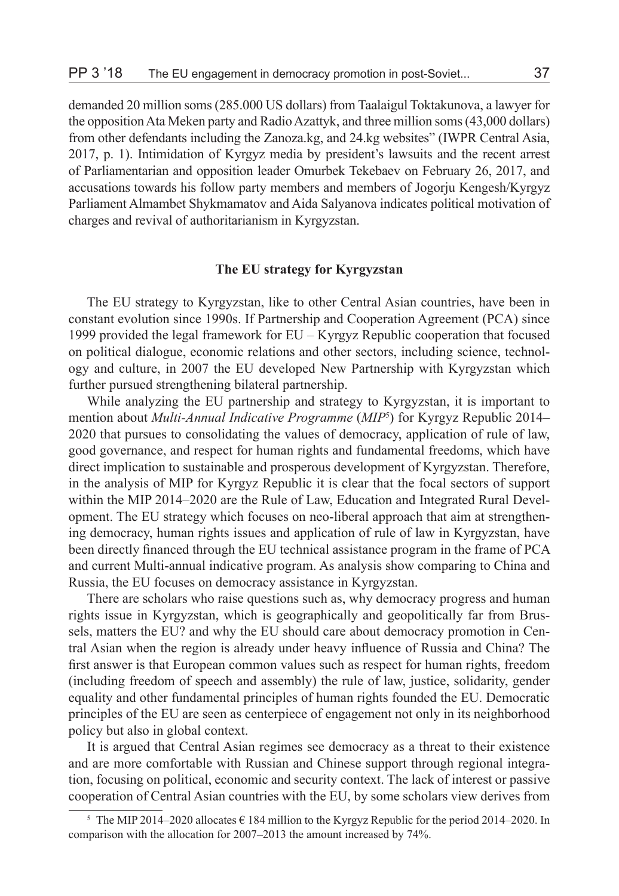demanded 20 million soms (285.000 US dollars) from Taalaigul Toktakunova, a lawyer for the opposition Ata Meken party and Radio Azattyk, and three million soms (43,000 dollars) from other defendants including the Zanoza.kg, and 24.kg websites" (IWPR Central Asia, 2017, p. 1). Intimidation of Kyrgyz media by president's lawsuits and the recent arrest of Parliamentarian and opposition leader Omurbek Tekebaev on February 26, 2017, and accusations towards his follow party members and members of Jogorju Kengesh/Kyrgyz Parliament Almambet Shykmamatov and Aida Salyanova indicates political motivation of charges and revival of authoritarianism in Kyrgyzstan.

# **The EU strategy for Kyrgyzstan**

The EU strategy to Kyrgyzstan, like to other Central Asian countries, have been in constant evolution since 1990s. If Partnership and Cooperation Agreement (PCA) since 1999 provided the legal framework for EU – Kyrgyz Republic cooperation that focused on political dialogue, economic relations and other sectors, including science, technology and culture, in 2007 the EU developed New Partnership with Kyrgyzstan which further pursued strengthening bilateral partnership.

While analyzing the EU partnership and strategy to Kyrgyzstan, it is important to mention about *Multi-Annual Indicative Programme* (*MIP*<sup>5</sup> ) for Kyrgyz Republic 2014– 2020 that pursues to consolidating the values of democracy, application of rule of law, good governance, and respect for human rights and fundamental freedoms, which have direct implication to sustainable and prosperous development of Kyrgyzstan. Therefore, in the analysis of MIP for Kyrgyz Republic it is clear that the focal sectors of support within the MIP 2014–2020 are the Rule of Law, Education and Integrated Rural Development. The EU strategy which focuses on neo-liberal approach that aim at strengthening democracy, human rights issues and application of rule of law in Kyrgyzstan, have been directly financed through the EU technical assistance program in the frame of PCA and current Multi-annual indicative program. As analysis show comparing to China and Russia, the EU focuses on democracy assistance in Kyrgyzstan.

There are scholars who raise questions such as, why democracy progress and human rights issue in Kyrgyzstan, which is geographically and geopolitically far from Brussels, matters the EU? and why the EU should care about democracy promotion in Central Asian when the region is already under heavy influence of Russia and China? The first answer is that European common values such as respect for human rights, freedom (including freedom of speech and assembly) the rule of law, justice, solidarity, gender equality and other fundamental principles of human rights founded the EU. Democratic principles of the EU are seen as centerpiece of engagement not only in its neighborhood policy but also in global context.

It is argued that Central Asian regimes see democracy as a threat to their existence and are more comfortable with Russian and Chinese support through regional integration, focusing on political, economic and security context. The lack of interest or passive cooperation of Central Asian countries with the EU, by some scholars view derives from

<sup>&</sup>lt;sup>5</sup> The MIP 2014–2020 allocates  $\epsilon$  184 million to the Kyrgyz Republic for the period 2014–2020. In comparison with the allocation for 2007–2013 the amount increased by 74%.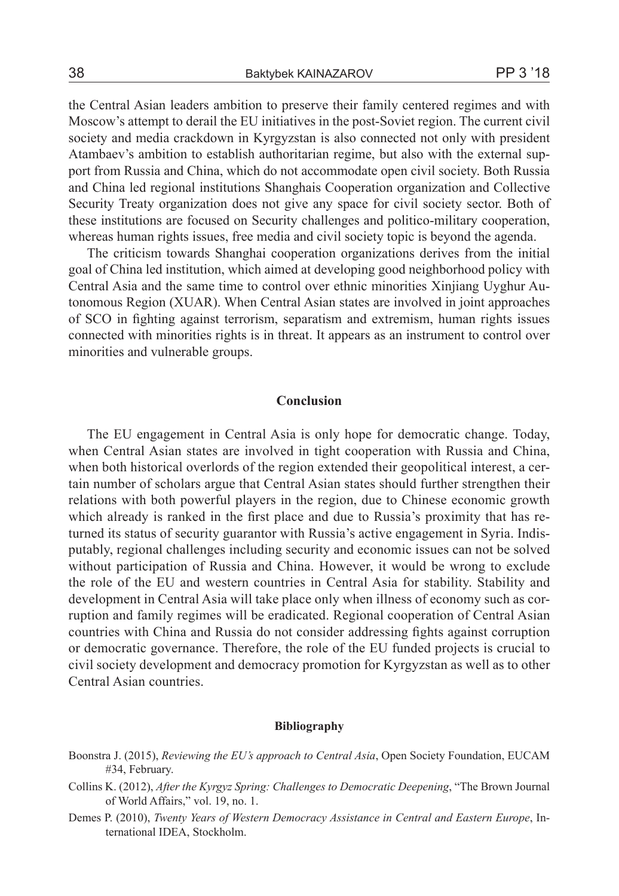the Central Asian leaders ambition to preserve their family centered regimes and with Moscow's attempt to derail the EU initiatives in the post-Soviet region. The current civil society and media crackdown in Kyrgyzstan is also connected not only with president Atambaev's ambition to establish authoritarian regime, but also with the external support from Russia and China, which do not accommodate open civil society. Both Russia and Сhina led regional institutions Shanghais Cooperation organization and Collective Security Treaty organization does not give any space for civil society sector. Both of these institutions are focused on Security challenges and politico-military cooperation, whereas human rights issues, free media and civil society topic is beyond the agenda.

The criticism towards Shanghai cooperation organizations derives from the initial goal of China led institution, which aimed at developing good neighborhood policy with Central Asia and the same time to control over ethnic minorities Xinjiang Uyghur Autonomous Region (XUAR). When Central Asian states are involved in joint approaches of SCO in fighting against terrorism, separatism and extremism, human rights issues connected with minorities rights is in threat. It appears as an instrument to control over minorities and vulnerable groups.

## **Conclusion**

The EU engagement in Central Asia is only hope for democratic change. Today, when Central Asian states are involved in tight cooperation with Russia and China, when both historical overlords of the region extended their geopolitical interest, a certain number of scholars argue that Central Asian states should further strengthen their relations with both powerful players in the region, due to Chinese economic growth which already is ranked in the first place and due to Russia's proximity that has returned its status of security guarantor with Russia's active engagement in Syria. Indisputably, regional challenges including security and economic issues can not be solved without participation of Russia and China. However, it would be wrong to exclude the role of the EU and western countries in Central Asia for stability. Stability and development in Central Asia will take place only when illness of economy such as corruption and family regimes will be eradicated. Regional cooperation of Central Asian countries with China and Russia do not consider addressing fights against corruption or democratic governance. Therefore, the role of the EU funded projects is crucial to civil society development and democracy promotion for Kyrgyzstan as well as to other Central Asian countries.

## **Bibliography**

- Boonstra J. (2015), *Reviewing the EU's approach to Central Asia*, Open Society Foundation, EUCAM #34, February.
- Collins K. (2012), *After the Kyrgyz Spring: Challenges to Democratic Deepening*, "The Brown Journal of World Affairs," vol. 19, no. 1.
- Demes P. (2010), *Twenty Years of Western Democracy Assistance in Central and Eastern Europe*, International IDEA, Stockholm.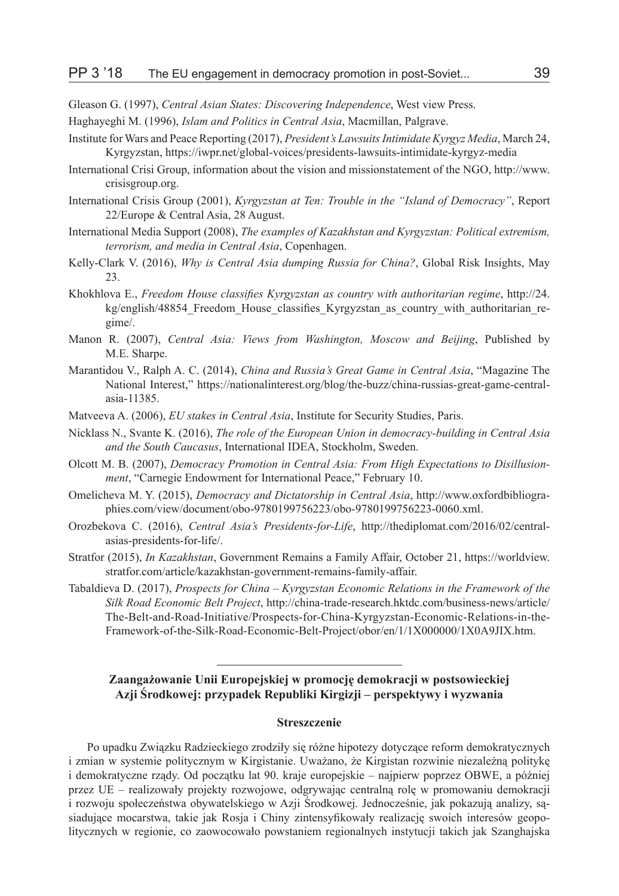Gleason G. (1997), *Central Asian States: Discovering Independence*, West view Press.

- Haghayeghi M. (1996), *Islam and Politics in Central Asia*, Macmillan, Palgrave.
- Institute for Wars and Peace Reporting (2017), *President's Lawsuits Intimidate Kyrgyz Media*, March 24, Kyrgyzstan, https://iwpr.net/global-voices/presidents-lawsuits-intimidate-kyrgyz-media
- International Crisi Group, information about the vision and missionstatement of the NGO, http://www. crisisgroup.org.
- International Crisis Group (2001), *Kyrgyzstan at Ten: Trouble in the "Island of Democracy"*, Report 22/Europe & Central Asia, 28 August.
- International Media Support (2008), *The examples of Kazakhstan and Kyrgyzstan: Political extremism, terrorism, and media in Central Asia*, Copenhagen.
- Kelly-Clark V. (2016), *Why is Central Asia dumping Russia for China?*, Global Risk Insights, May 23.
- Khokhlova E., *Freedom House classifies Kyrgyzstan as country with authoritarian regime*, http://24. kg/english/48854\_Freedom\_House\_classifies\_Kyrgyzstan\_as\_country\_with\_authoritarian\_regime/.
- Manon R. (2007), *Central Asia: Views from Washington, Moscow and Beijing*, Published by M.E. Sharpe.
- Marantidou V., Ralph A. C. (2014), *China and Russia's Great Game in Central Asia*, "Magazine The National Interest," https://nationalinterest.org/blog/the-buzz/china-russias-great-game-centralasia-11385.
- Matveeva A. (2006), *EU stakes in Central Asia*, Institute for Security Studies, Paris.
- Nicklass N., Svante K. (2016), *The role of the European Union in democracy-building in Central Asia and the South Caucasus*, International IDEA, Stockholm, Sweden.
- Olcott M. B. (2007), *Democracy Promotion in Central Asia: From High Expectations to Disillusionment*, "Carnegie Endowment for International Peace," February 10.
- Omelicheva M. Y. (2015), *Democracy and Dictatorship in Central Asia*, http://www.oxfordbibliographies.com/view/document/obo-9780199756223/obo-9780199756223-0060.xml.
- Orozbekova C. (2016), *Central Asia's Presidents-for-Life*, http://thediplomat.com/2016/02/centralasias-presidents-for-life/.
- Stratfor (2015), *In Kazakhstan*, Government Remains a Family Affair, October 21, https://worldview. stratfor.com/article/kazakhstan-government-remains-family-affair.
- Tabaldieva D. (2017), *Prospects for China Kyrgyzstan Economic Relations in the Framework of the Silk Road Economic Belt Project*, http://china-trade-research.hktdc.com/business-news/article/ The-Belt-and-Road-Initiative/Prospects-for-China-Kyrgyzstan-Economic-Relations-in-the-Framework-of-the-Silk-Road-Economic-Belt-Project/obor/en/1/1X000000/1X0A9JIX.htm.

# **Zaangażowanie Unii Europejskiej w promocję demokracji w postsowieckiej Azji Środkowej: przypadek Republiki Kirgizji – perspektywy i wyzwania**

## **Streszczenie**

Po upadku Związku Radzieckiego zrodziły się różne hipotezy dotyczące reform demokratycznych i zmian w systemie politycznym w Kirgistanie. Uważano, że Kirgistan rozwinie niezależną politykę i demokratyczne rządy. Od początku lat 90. kraje europejskie – najpierw poprzez OBWE, a później przez UE – realizowały projekty rozwojowe, odgrywając centralną rolę w promowaniu demokracji i rozwoju społeczeństwa obywatelskiego w Azji Środkowej. Jednocześnie, jak pokazują analizy, sąsiadujące mocarstwa, takie jak Rosja i Chiny zintensyfikowały realizację swoich interesów geopolitycznych w regionie, co zaowocowało powstaniem regionalnych instytucji takich jak Szanghajska